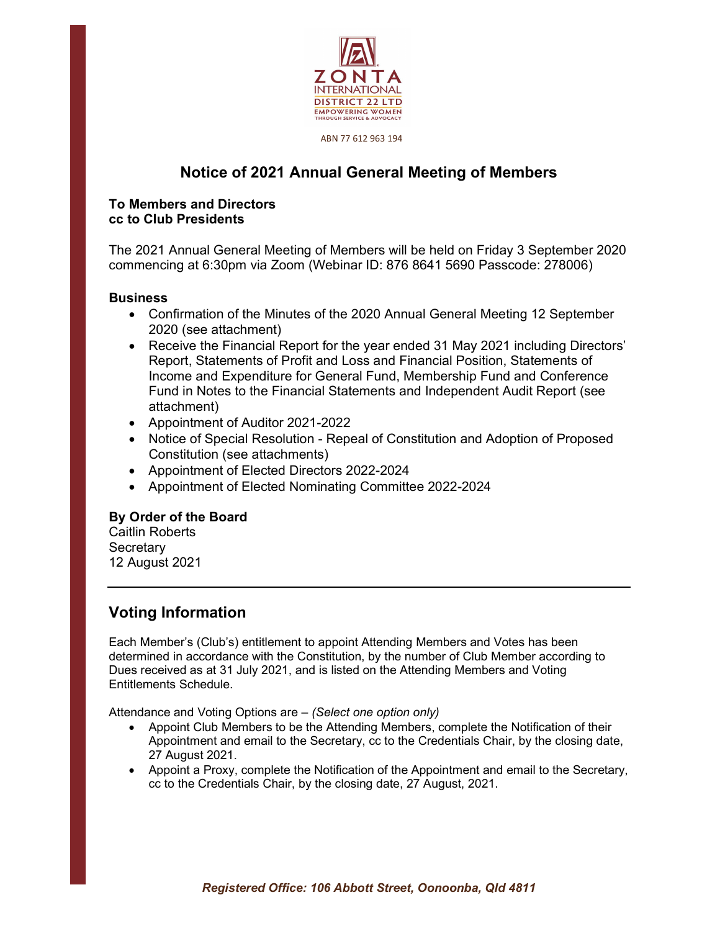

#### ABN 77 612 963 194

# Notice of 2021 Annual General Meeting of Members

### To Members and Directors cc to Club Presidents

The 2021 Annual General Meeting of Members will be held on Friday 3 September 2020 commencing at 6:30pm via Zoom (Webinar ID: 876 8641 5690 Passcode: 278006)

### **Business**

- Confirmation of the Minutes of the 2020 Annual General Meeting 12 September 2020 (see attachment)
- Receive the Financial Report for the year ended 31 May 2021 including Directors' Report, Statements of Profit and Loss and Financial Position, Statements of Income and Expenditure for General Fund, Membership Fund and Conference Fund in Notes to the Financial Statements and Independent Audit Report (see attachment)
- Appointment of Auditor 2021-2022
- Notice of Special Resolution Repeal of Constitution and Adoption of Proposed Constitution (see attachments)
- Appointment of Elected Directors 2022-2024
- Appointment of Elected Nominating Committee 2022-2024

### By Order of the Board

Caitlin Roberts **Secretary** 12 August 2021

## Voting Information

Each Member's (Club's) entitlement to appoint Attending Members and Votes has been determined in accordance with the Constitution, by the number of Club Member according to Dues received as at 31 July 2021, and is listed on the Attending Members and Voting Entitlements Schedule.

Attendance and Voting Options are – (Select one option only)

- Appoint Club Members to be the Attending Members, complete the Notification of their Appointment and email to the Secretary, cc to the Credentials Chair, by the closing date, 27 August 2021.
- Appoint a Proxy, complete the Notification of the Appointment and email to the Secretary, cc to the Credentials Chair, by the closing date, 27 August, 2021.